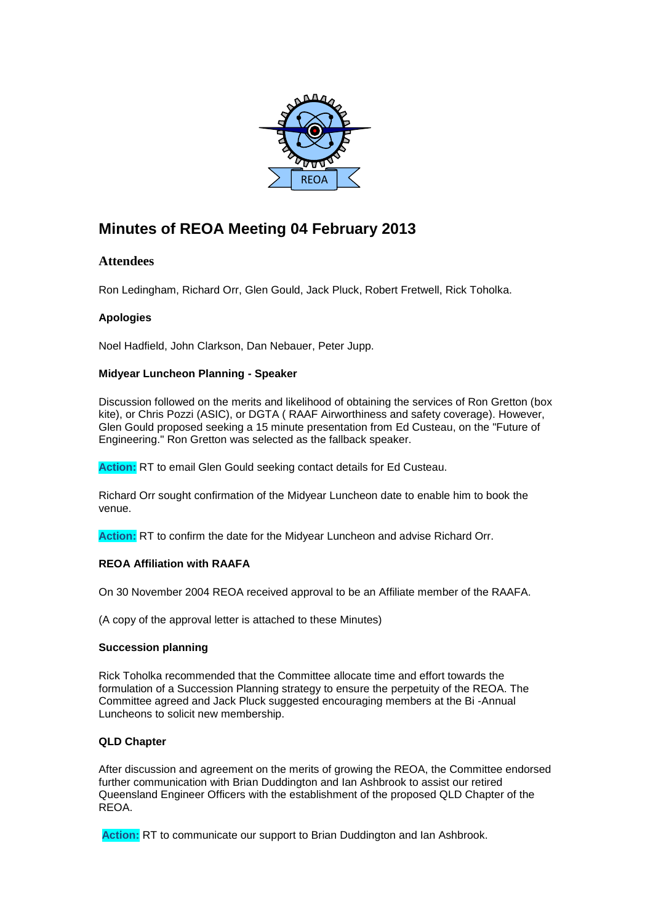

# **Minutes of REOA Meeting 04 February 2013**

## **Attendees**

Ron Ledingham, Richard Orr, Glen Gould, Jack Pluck, Robert Fretwell, Rick Toholka.

## **Apologies**

Noel Hadfield, John Clarkson, Dan Nebauer, Peter Jupp.

## **Midyear Luncheon Planning - Speaker**

Discussion followed on the merits and likelihood of obtaining the services of Ron Gretton (box kite), or Chris Pozzi (ASIC), or DGTA ( RAAF Airworthiness and safety coverage). However, Glen Gould proposed seeking a 15 minute presentation from Ed Custeau, on the "Future of Engineering." Ron Gretton was selected as the fallback speaker.

**Action:** RT to email Glen Gould seeking contact details for Ed Custeau.

Richard Orr sought confirmation of the Midyear Luncheon date to enable him to book the venue.

**Action:** RT to confirm the date for the Midyear Luncheon and advise Richard Orr.

## **REOA Affiliation with RAAFA**

On 30 November 2004 REOA received approval to be an Affiliate member of the RAAFA.

(A copy of the approval letter is attached to these Minutes)

## **Succession planning**

Rick Toholka recommended that the Committee allocate time and effort towards the formulation of a Succession Planning strategy to ensure the perpetuity of the REOA. The Committee agreed and Jack Pluck suggested encouraging members at the Bi -Annual Luncheons to solicit new membership.

## **QLD Chapter**

After discussion and agreement on the merits of growing the REOA, the Committee endorsed further communication with Brian Duddington and Ian Ashbrook to assist our retired Queensland Engineer Officers with the establishment of the proposed QLD Chapter of the REOA.

**Action:** RT to communicate our support to Brian Duddington and Ian Ashbrook.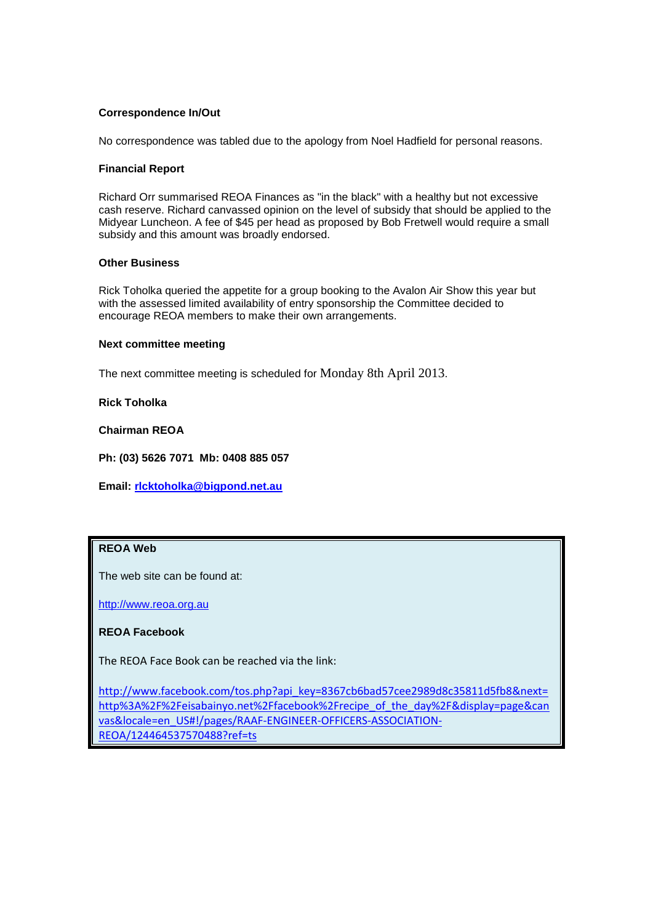## **Correspondence In/Out**

No correspondence was tabled due to the apology from Noel Hadfield for personal reasons.

### **Financial Report**

Richard Orr summarised REOA Finances as "in the black" with a healthy but not excessive cash reserve. Richard canvassed opinion on the level of subsidy that should be applied to the Midyear Luncheon. A fee of \$45 per head as proposed by Bob Fretwell would require a small subsidy and this amount was broadly endorsed.

## **Other Business**

Rick Toholka queried the appetite for a group booking to the Avalon Air Show this year but with the assessed limited availability of entry sponsorship the Committee decided to encourage REOA members to make their own arrangements.

### **Next committee meeting**

The next committee meeting is scheduled for Monday 8th April 2013.

**Rick Toholka**

**Chairman REOA**

**Ph: (03) 5626 7071 Mb: 0408 885 057**

**Email: [rlcktoholka@bigpond.net.au](mailto:rledingh@bigpond.net.au)**

#### **REOA Web**

The web site can be found at:

[http://www.reoa.org.au](http://www.reoa.org.au/)

## **REOA Facebook**

The REOA Face Book can be reached via the link:

[http://www.facebook.com/tos.php?api\\_key=8367cb6bad57cee2989d8c35811d5fb8&next=](http://www.facebook.com/tos.php?api_key=8367cb6bad57cee2989d8c35811d5fb8&next=http%3A%2F%2Feisabainyo.net%2Ffacebook%2Frecipe_of_the_day%2F&display=page&canvas&locale=en_US#!/pages/RAAF-ENGINEER-OFFICERS-ASSOCIATION-REOA/124464537570488?ref=ts) [http%3A%2F%2Feisabainyo.net%2Ffacebook%2Frecipe\\_of\\_the\\_day%2F&display=page&can](http://www.facebook.com/tos.php?api_key=8367cb6bad57cee2989d8c35811d5fb8&next=http%3A%2F%2Feisabainyo.net%2Ffacebook%2Frecipe_of_the_day%2F&display=page&canvas&locale=en_US#!/pages/RAAF-ENGINEER-OFFICERS-ASSOCIATION-REOA/124464537570488?ref=ts) [vas&locale=en\\_US#!/pages/RAAF-ENGINEER-OFFICERS-ASSOCIATION-](http://www.facebook.com/tos.php?api_key=8367cb6bad57cee2989d8c35811d5fb8&next=http%3A%2F%2Feisabainyo.net%2Ffacebook%2Frecipe_of_the_day%2F&display=page&canvas&locale=en_US#!/pages/RAAF-ENGINEER-OFFICERS-ASSOCIATION-REOA/124464537570488?ref=ts)[REOA/124464537570488?ref=ts](http://www.facebook.com/tos.php?api_key=8367cb6bad57cee2989d8c35811d5fb8&next=http%3A%2F%2Feisabainyo.net%2Ffacebook%2Frecipe_of_the_day%2F&display=page&canvas&locale=en_US#!/pages/RAAF-ENGINEER-OFFICERS-ASSOCIATION-REOA/124464537570488?ref=ts)